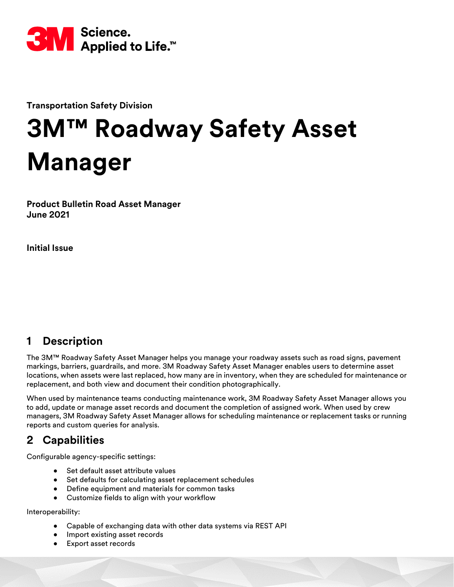

**Transportation Safety Division**

# **3M™ Roadway Safety Asset Manager**

**Product Bulletin Road Asset Manager June 2021**

**Initial Issue** 

# **1 Description**

The 3M™ Roadway Safety Asset Manager helps you manage your roadway assets such as road signs, pavement markings, barriers, guardrails, and more. 3M Roadway Safety Asset Manager enables users to determine asset locations, when assets were last replaced, how many are in inventory, when they are scheduled for maintenance or replacement, and both view and document their condition photographically.

When used by maintenance teams conducting maintenance work, 3M Roadway Safety Asset Manager allows you to add, update or manage asset records and document the completion of assigned work. When used by crew managers, 3M Roadway Safety Asset Manager allows for scheduling maintenance or replacement tasks or running reports and custom queries for analysis.

# **2 Capabilities**

Configurable agency-specific settings:

- Set default asset attribute values
- Set defaults for calculating asset replacement schedules
- Define equipment and materials for common tasks
- Customize fields to align with your workflow

Interoperability:

- Capable of exchanging data with other data systems via REST API
- Import existing asset records
- Export asset records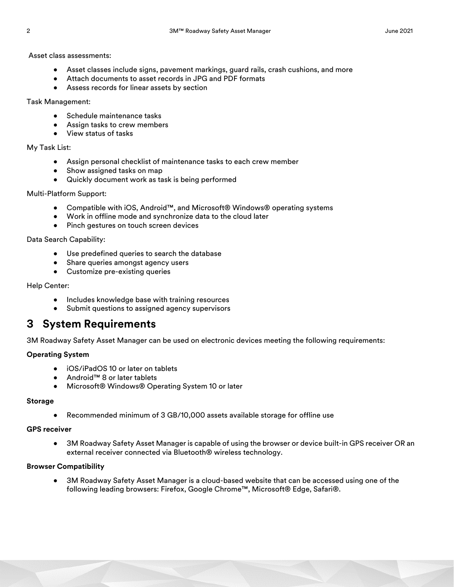Asset class assessments:

- Asset classes include signs, pavement markings, guard rails, crash cushions, and more
- Attach documents to asset records in JPG and PDF formats
- Assess records for linear assets by section

Task Management:

- Schedule maintenance tasks
- Assign tasks to crew members
- View status of tasks

#### My Task List:

- Assign personal checklist of maintenance tasks to each crew member
- Show assigned tasks on map
- Quickly document work as task is being performed

#### Multi-Platform Support:

- Compatible with iOS, Android™, and Microsoft® Windows® operating systems
- Work in offline mode and synchronize data to the cloud later
- Pinch gestures on touch screen devices

Data Search Capability:

- Use predefined queries to search the database
- Share queries amongst agency users
- Customize pre-existing queries

#### Help Center:

- Includes knowledge base with training resources
- Submit questions to assigned agency supervisors

# **3 System Requirements**

3M Roadway Safety Asset Manager can be used on electronic devices meeting the following requirements:

#### **Operating System**

- iOS/iPadOS 10 or later on tablets
- Android™ 8 or later tablets
- Microsoft® Windows® Operating System 10 or later

#### **Storage**

• Recommended minimum of 3 GB/10,000 assets available storage for offline use

#### **GPS receiver**

• 3M Roadway Safety Asset Manager is capable of using the browser or device built-in GPS receiver OR an external receiver connected via Bluetooth® wireless technology.

#### **Browser Compatibility**

• 3M Roadway Safety Asset Manager is a cloud-based website that can be accessed using one of the following leading browsers: Firefox, Google Chrome™, Microsoft® Edge, Safari®.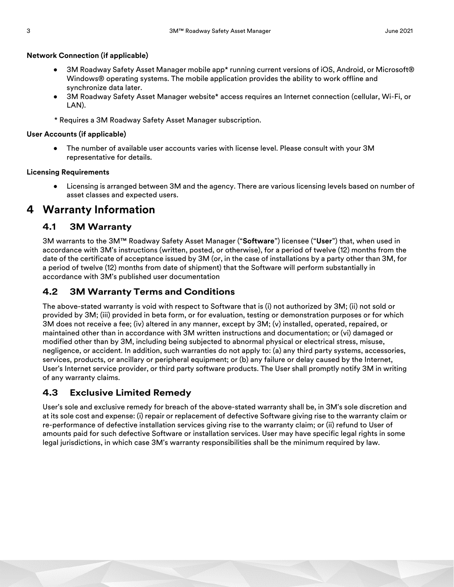#### **Network Connection (if applicable)**

- 3M Roadway Safety Asset Manager mobile app\* running current versions of iOS, Android, or Microsoft® Windows® operating systems. The mobile application provides the ability to work offline and synchronize data later.
- 3M Roadway Safety Asset Manager website\* access requires an Internet connection (cellular, Wi-Fi, or LAN).
- \* Requires a 3M Roadway Safety Asset Manager subscription.

#### **User Accounts (if applicable)**

• The number of available user accounts varies with license level. Please consult with your 3M representative for details.

#### **Licensing Requirements**

• Licensing is arranged between 3M and the agency. There are various licensing levels based on number of asset classes and expected users.

# **4 Warranty Information**

## **4.1 3M Warranty**

3M warrants to the 3M™ Roadway Safety Asset Manager ("**Software**") licensee ("**User**") that, when used in accordance with 3M's instructions (written, posted, or otherwise), for a period of twelve (12) months from the date of the certificate of acceptance issued by 3M (or, in the case of installations by a party other than 3M, for a period of twelve (12) months from date of shipment) that the Software will perform substantially in accordance with 3M's published user documentation

## **4.2 3M Warranty Terms and Conditions**

The above-stated warranty is void with respect to Software that is (i) not authorized by 3M; (ii) not sold or provided by 3M; (iii) provided in beta form, or for evaluation, testing or demonstration purposes or for which 3M does not receive a fee; (iv) altered in any manner, except by 3M; (v) installed, operated, repaired, or maintained other than in accordance with 3M written instructions and documentation; or (vi) damaged or modified other than by 3M, including being subjected to abnormal physical or electrical stress, misuse, negligence, or accident. In addition, such warranties do not apply to: (a) any third party systems, accessories, services, products, or ancillary or peripheral equipment; or (b) any failure or delay caused by the Internet, User's Internet service provider, or third party software products. The User shall promptly notify 3M in writing of any warranty claims.

## **4.3 Exclusive Limited Remedy**

User's sole and exclusive remedy for breach of the above-stated warranty shall be, in 3M's sole discretion and at its sole cost and expense: (i) repair or replacement of defective Software giving rise to the warranty claim or re-performance of defective installation services giving rise to the warranty claim; or (ii) refund to User of amounts paid for such defective Software or installation services. User may have specific legal rights in some legal jurisdictions, in which case 3M's warranty responsibilities shall be the minimum required by law.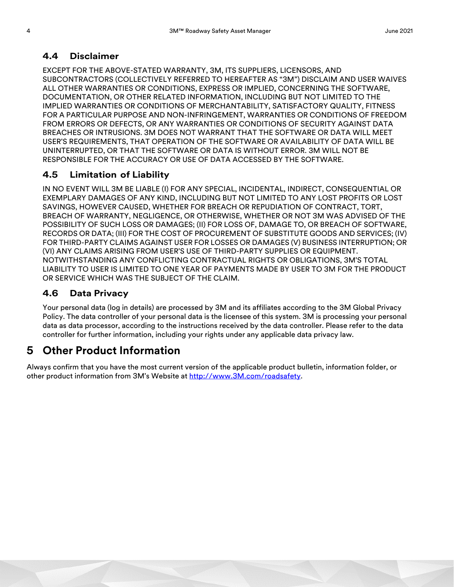## **4.4 Disclaimer**

EXCEPT FOR THE ABOVE-STATED WARRANTY, 3M, ITS SUPPLIERS, LICENSORS, AND SUBCONTRACTORS (COLLECTIVELY REFERRED TO HEREAFTER AS "3M") DISCLAIM AND USER WAIVES ALL OTHER WARRANTIES OR CONDITIONS, EXPRESS OR IMPLIED, CONCERNING THE SOFTWARE, DOCUMENTATION, OR OTHER RELATED INFORMATION, INCLUDING BUT NOT LIMITED TO THE IMPLIED WARRANTIES OR CONDITIONS OF MERCHANTABILITY, SATISFACTORY QUALITY, FITNESS FOR A PARTICULAR PURPOSE AND NON-INFRINGEMENT, WARRANTIES OR CONDITIONS OF FREEDOM FROM ERRORS OR DEFECTS, OR ANY WARRANTIES OR CONDITIONS OF SECURITY AGAINST DATA BREACHES OR INTRUSIONS. 3M DOES NOT WARRANT THAT THE SOFTWARE OR DATA WILL MEET USER'S REQUIREMENTS, THAT OPERATION OF THE SOFTWARE OR AVAILABILITY OF DATA WILL BE UNINTERRUPTED, OR THAT THE SOFTWARE OR DATA IS WITHOUT ERROR. 3M WILL NOT BE RESPONSIBLE FOR THE ACCURACY OR USE OF DATA ACCESSED BY THE SOFTWARE.

# **4.5 Limitation of Liability**

IN NO EVENT WILL 3M BE LIABLE (I) FOR ANY SPECIAL, INCIDENTAL, INDIRECT, CONSEQUENTIAL OR EXEMPLARY DAMAGES OF ANY KIND, INCLUDING BUT NOT LIMITED TO ANY LOST PROFITS OR LOST SAVINGS, HOWEVER CAUSED, WHETHER FOR BREACH OR REPUDIATION OF CONTRACT, TORT, BREACH OF WARRANTY, NEGLIGENCE, OR OTHERWISE, WHETHER OR NOT 3M WAS ADVISED OF THE POSSIBILITY OF SUCH LOSS OR DAMAGES; (II) FOR LOSS OF, DAMAGE TO, OR BREACH OF SOFTWARE, RECORDS OR DATA; (III) FOR THE COST OF PROCUREMENT OF SUBSTITUTE GOODS AND SERVICES; (IV) FOR THIRD-PARTY CLAIMS AGAINST USER FOR LOSSES OR DAMAGES (V) BUSINESS INTERRUPTION; OR (VI) ANY CLAIMS ARISING FROM USER'S USE OF THIRD-PARTY SUPPLIES OR EQUIPMENT. NOTWITHSTANDING ANY CONFLICTING CONTRACTUAL RIGHTS OR OBLIGATIONS, 3M'S TOTAL LIABILITY TO USER IS LIMITED TO ONE YEAR OF PAYMENTS MADE BY USER TO 3M FOR THE PRODUCT OR SERVICE WHICH WAS THE SUBJECT OF THE CLAIM.

## **4.6 Data Privacy**

Your personal data (log in details) are processed by 3M and its affiliates according to the 3M Global Privacy Policy. The data controller of your personal data is the licensee of this system. 3M is processing your personal data as data processor, according to the instructions received by the data controller. Please refer to the data controller for further information, including your rights under any applicable data privacy law.

# **5 Other Product Information**

Always confirm that you have the most current version of the applicable product bulletin, information folder, or other product information from 3M's Website at [http://www.3M.com/roadsafety.](http://www.mmm.com/tss)